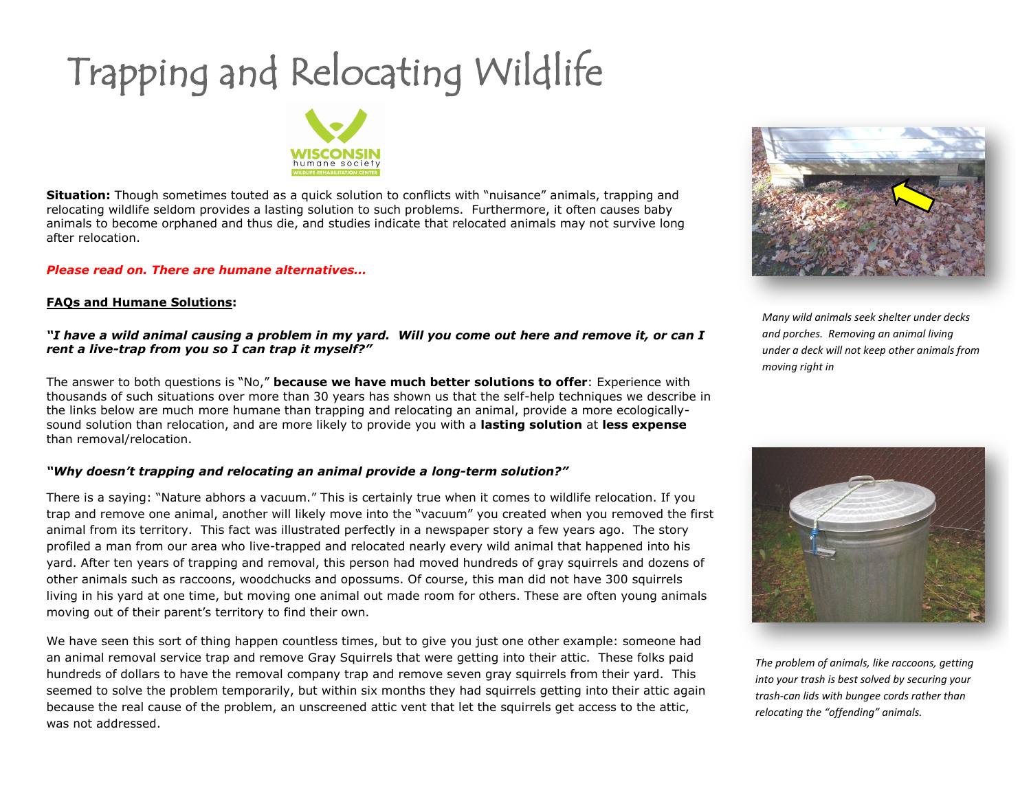# Trapping and Relocating Wildlife



**Situation:** Though sometimes touted as a quick solution to conflicts with "nuisance" animals, trapping and relocating wildlife seldom provides a lasting solution to such problems. Furthermore, it often causes baby animals to become orphaned and thus die, and studies indicate that relocated animals may not survive long after relocation.

## *Please read on. There are humane alternatives…*

## **FAQs and Humane Solutions:**

## *"I have a wild animal causing a problem in my yard. Will you come out here and remove it, or can I rent a live-trap from you so I can trap it myself?"*

The answer to both questions is "No," **because we have much better solutions to offer**: Experience with thousands of such situations over more than 30 years has shown us that the self-help techniques we describe in the links below are much more humane than trapping and relocating an animal, provide a more ecologicallysound solution than relocation, and are more likely to provide you with a **lasting solution** at **less expense** than removal/relocation.

# *"Why doesn't trapping and relocating an animal provide a long-term solution?"*

There is a saying: "Nature abhors a vacuum." This is certainly true when it comes to wildlife relocation. If you trap and remove one animal, another will likely move into the "vacuum" you created when you removed the first animal from its territory. This fact was illustrated perfectly in a newspaper story a few years ago. The story profiled a man from our area who live-trapped and relocated nearly every wild animal that happened into his yard. After ten years of trapping and removal, this person had moved hundreds of gray squirrels and dozens of other animals such as raccoons, woodchucks and opossums. Of course, this man did not have 300 squirrels living in his yard at one time, but moving one animal out made room for others. These are often young animals moving out of their parent's territory to find their own.

We have seen this sort of thing happen countless times, but to give you just one other example: someone had an animal removal service trap and remove Gray Squirrels that were getting into their attic. These folks paid hundreds of dollars to have the removal company trap and remove seven gray squirrels from their yard. This seemed to solve the problem temporarily, but within six months they had squirrels getting into their attic again because the real cause of the problem, an unscreened attic vent that let the squirrels get access to the attic, was not addressed.



*Many wild animals seek shelter under decks and porches. Removing an animal living under a deck will not keep other animals from moving right in*



*The problem of animals, like raccoons, getting into your trash is best solved by securing your trash-can lids with bungee cords rather than relocating the "offending" animals.*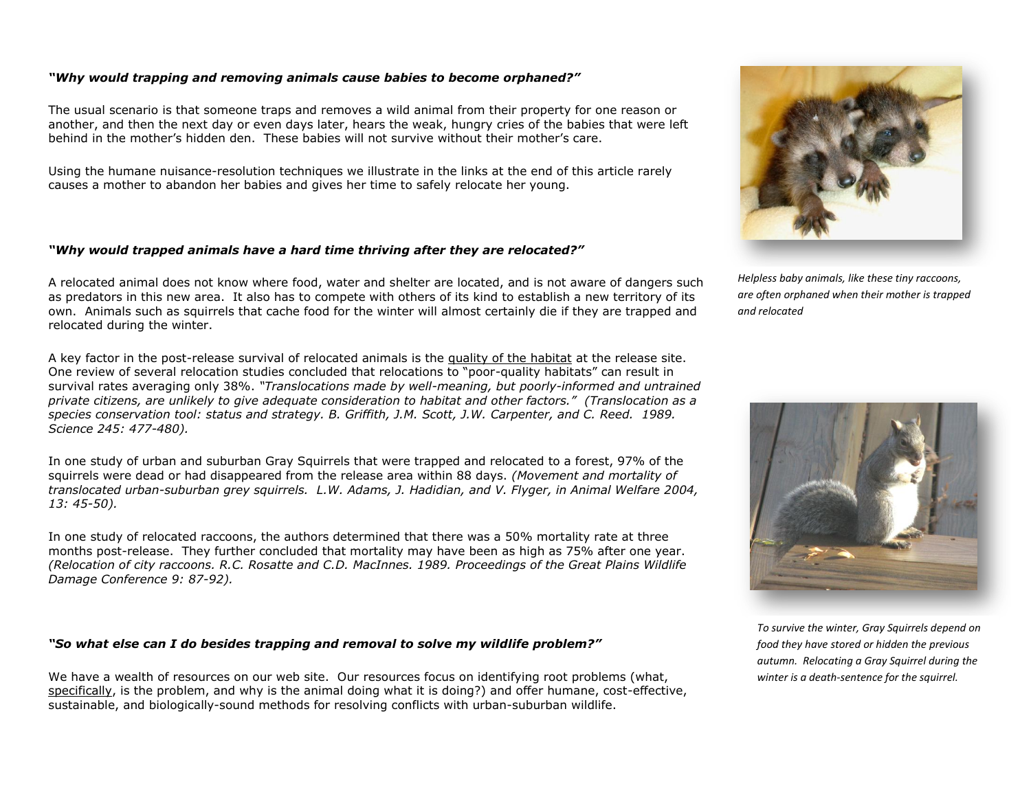#### *"Why would trapping and removing animals cause babies to become orphaned?"*

The usual scenario is that someone traps and removes a wild animal from their property for one reason or another, and then the next day or even days later, hears the weak, hungry cries of the babies that were left behind in the mother's hidden den. These babies will not survive without their mother's care.

Using the humane nuisance-resolution techniques we illustrate in the links at the end of this article rarely causes a mother to abandon her babies and gives her time to safely relocate her young.

#### *"Why would trapped animals have a hard time thriving after they are relocated?"*

A relocated animal does not know where food, water and shelter are located, and is not aware of dangers such as predators in this new area. It also has to compete with others of its kind to establish a new territory of its own. Animals such as squirrels that cache food for the winter will almost certainly die if they are trapped and relocated during the winter.

A key factor in the post-release survival of relocated animals is the quality of the habitat at the release site. One review of several relocation studies concluded that relocations to "poor-quality habitats" can result in survival rates averaging only 38%. *"Translocations made by well-meaning, but poorly-informed and untrained private citizens, are unlikely to give adequate consideration to habitat and other factors." (Translocation as a*  species conservation tool: status and strategy. B. Griffith, J.M. Scott, J.W. Carpenter, and C. Reed. 1989. *Science 245: 477-480).*

In one study of urban and suburban Gray Squirrels that were trapped and relocated to a forest, 97% of the squirrels were dead or had disappeared from the release area within 88 days. *(Movement and mortality of translocated urban-suburban grey squirrels. L.W. Adams, J. Hadidian, and V. Flyger, in Animal Welfare 2004, 13: 45-50).*

In one study of relocated raccoons, the authors determined that there was a 50% mortality rate at three months post-release. They further concluded that mortality may have been as high as 75% after one year. *(Relocation of city raccoons. R.C. Rosatte and C.D. MacInnes. 1989. Proceedings of the Great Plains Wildlife Damage Conference 9: 87-92).*

#### *"So what else can I do besides trapping and removal to solve my wildlife problem?"*

We have a wealth of resources on our web site. Our resources focus on identifying root problems (what, specifically, is the problem, and why is the animal doing what it is doing?) and offer humane, cost-effective, sustainable, and biologically-sound methods for resolving conflicts with urban-suburban wildlife.



*Helpless baby animals, like these tiny raccoons, are often orphaned when their mother is trapped and relocated*



*To survive the winter, Gray Squirrels depend on food they have stored or hidden the previous autumn. Relocating a Gray Squirrel during the winter is a death-sentence for the squirrel.*